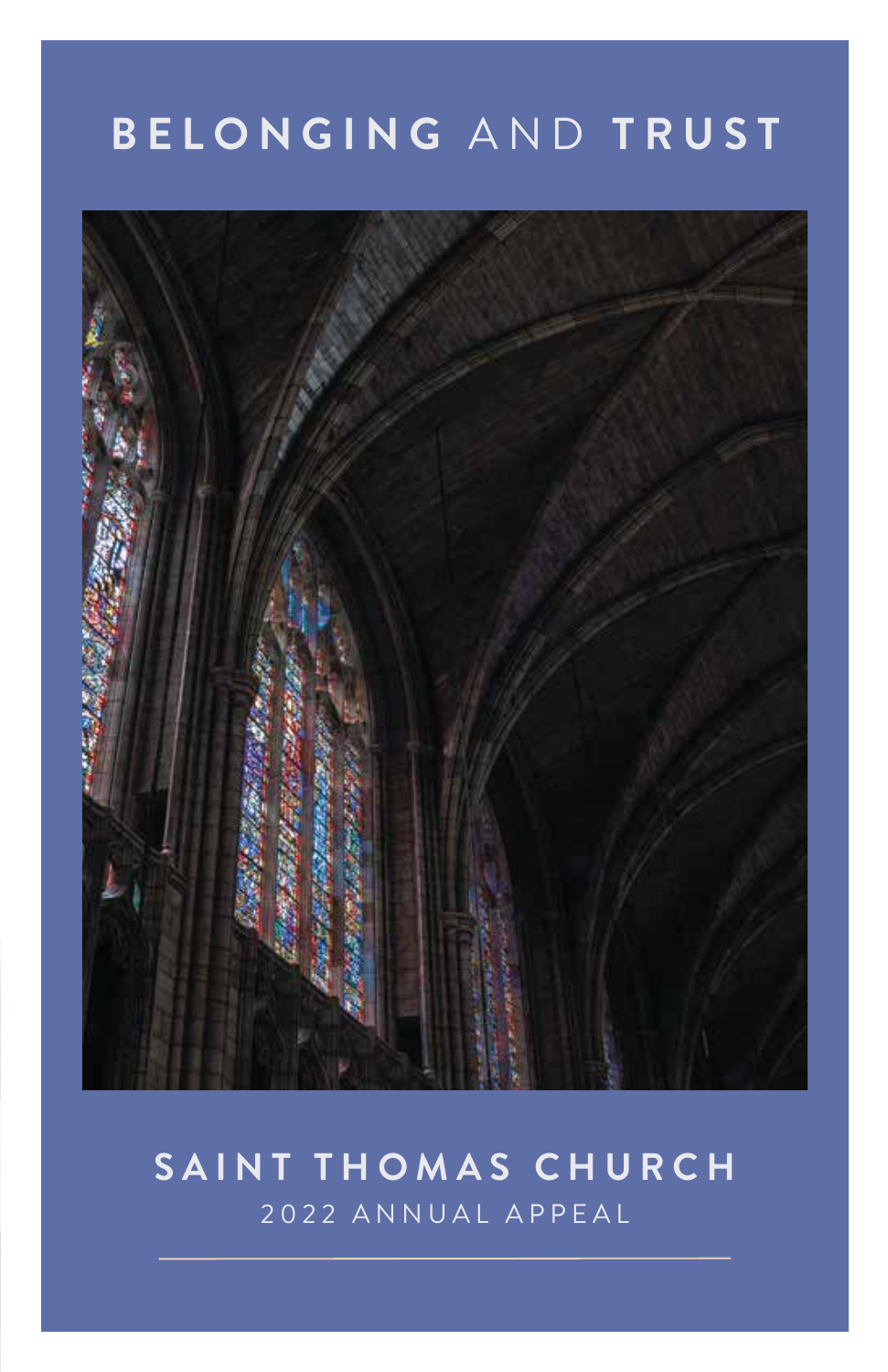# **B E L ONGI N G** A N D **TRUS T**



# **S A I N T THOM A S C H URC H** 2 0 2 2 ANN U AL A P P E A L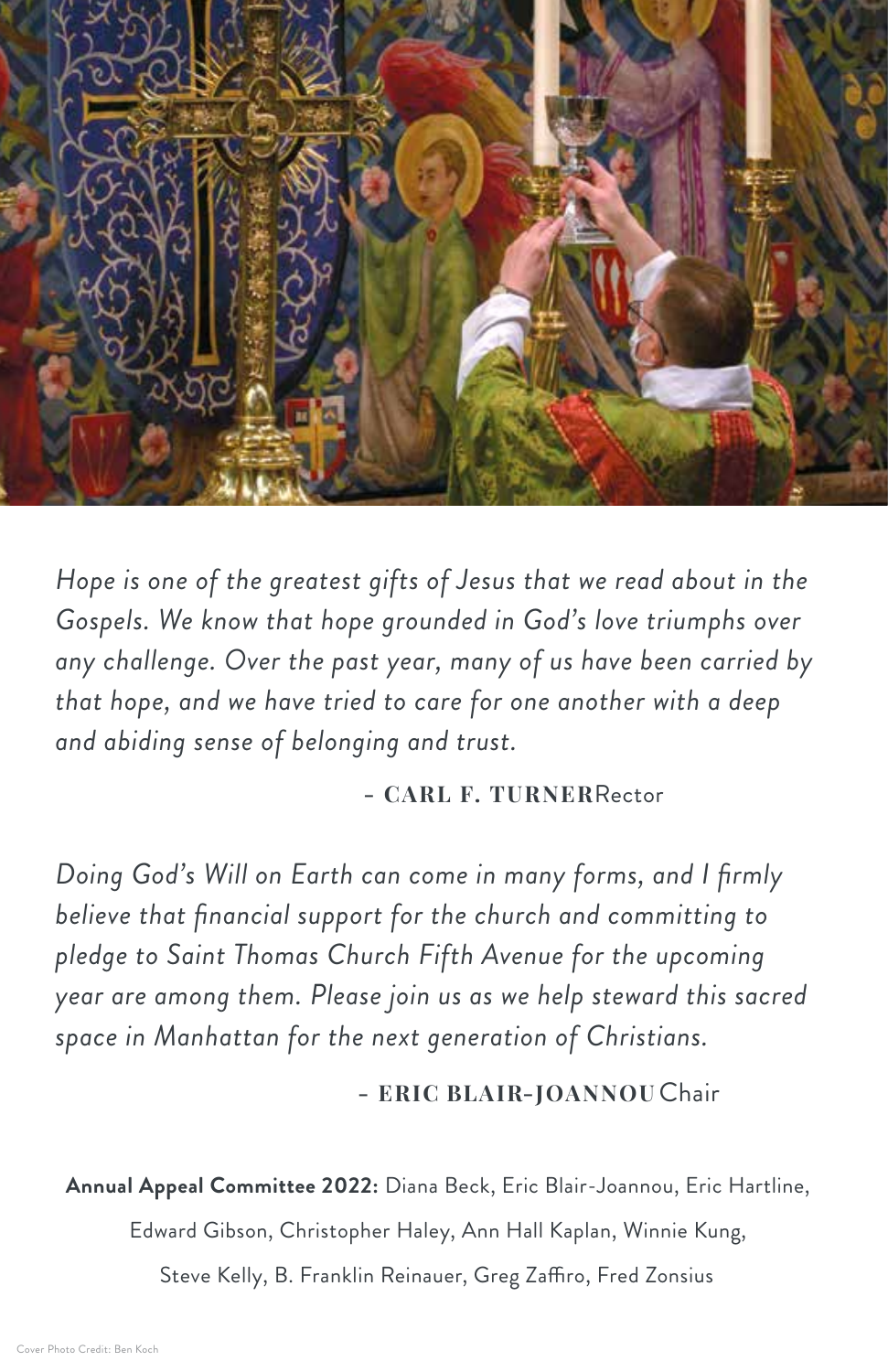

*Hope is one of the greatest gifts of Jesus that we read about in the Gospels. We know that hope grounded in God's love triumphs over any challenge. Over the past year, many of us have been carried by that hope, and we have tried to care for one another with a deep and abiding sense of belonging and trust.*

**- CARL F. TURNER**Rector

*Doing God's Will on Earth can come in many forms, and I firmly believe that financial support for the church and committing to pledge to Saint Thomas Church Fifth Avenue for the upcoming year are among them. Please join us as we help steward this sacred space in Manhattan for the next generation of Christians.* 

**- ERIC BLAIR-JOANNOU** Chair

**Annual Appeal Committee 2022:** Diana Beck, Eric Blair-Joannou, Eric Hartline,

Edward Gibson, Christopher Haley, Ann Hall Kaplan, Winnie Kung,

Steve Kelly, B. Franklin Reinauer, Greg Zaffiro, Fred Zonsius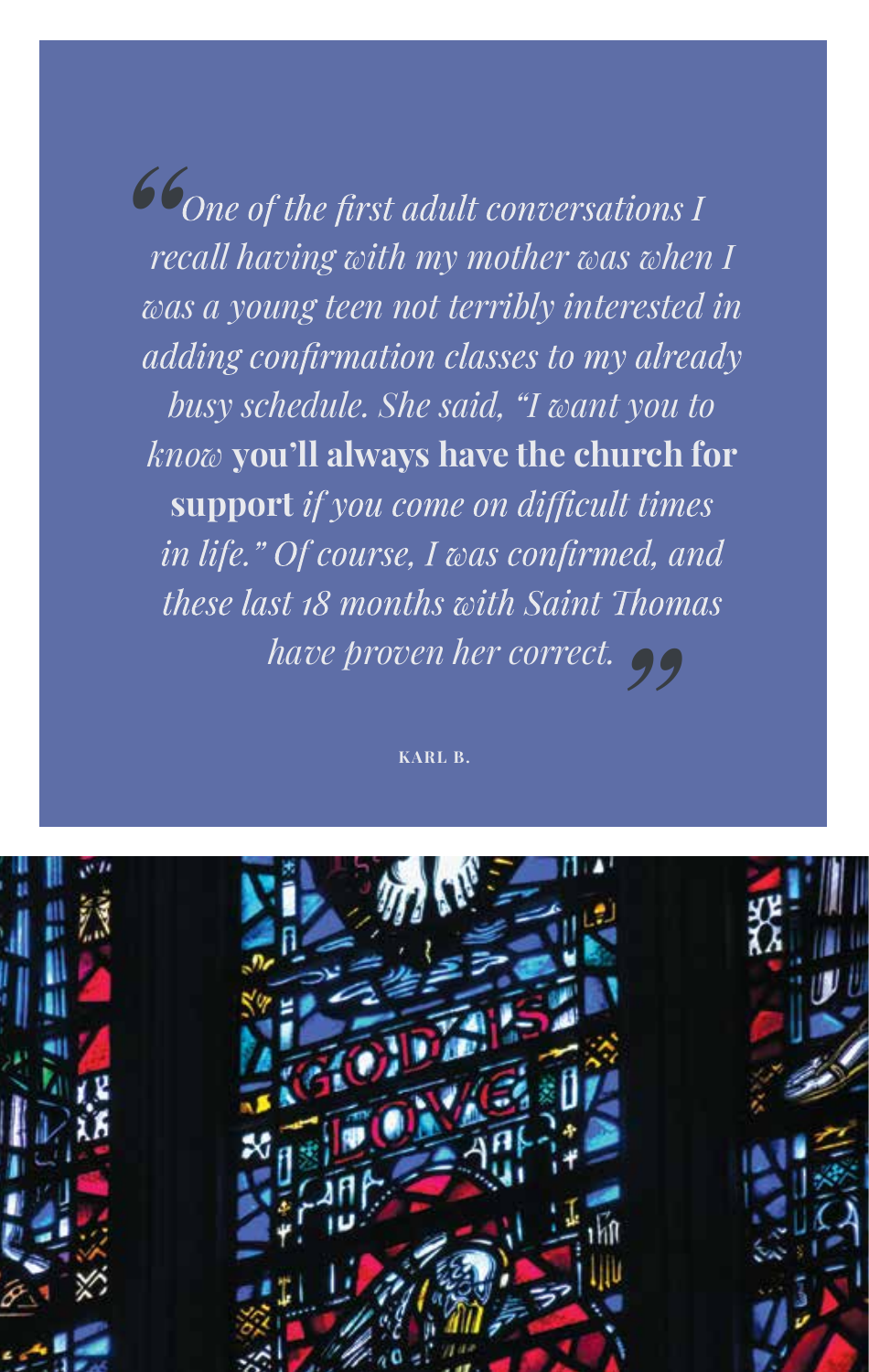*Cone of the first adult conversations I recall having with my mother was when I was a young teen not terribly interested in*  adding confirmation classes to my already *busy schedule. She said, "I want you to know* **you'll always have the church for support** if you come on difficult times in life." Of course, I was confirmed, and *these last 18 months with Saint Thomas have proven her correct.*<br>
<sub>KARL B.</sub><br>
<sub>KARL B.</sub>

**KARL B.**

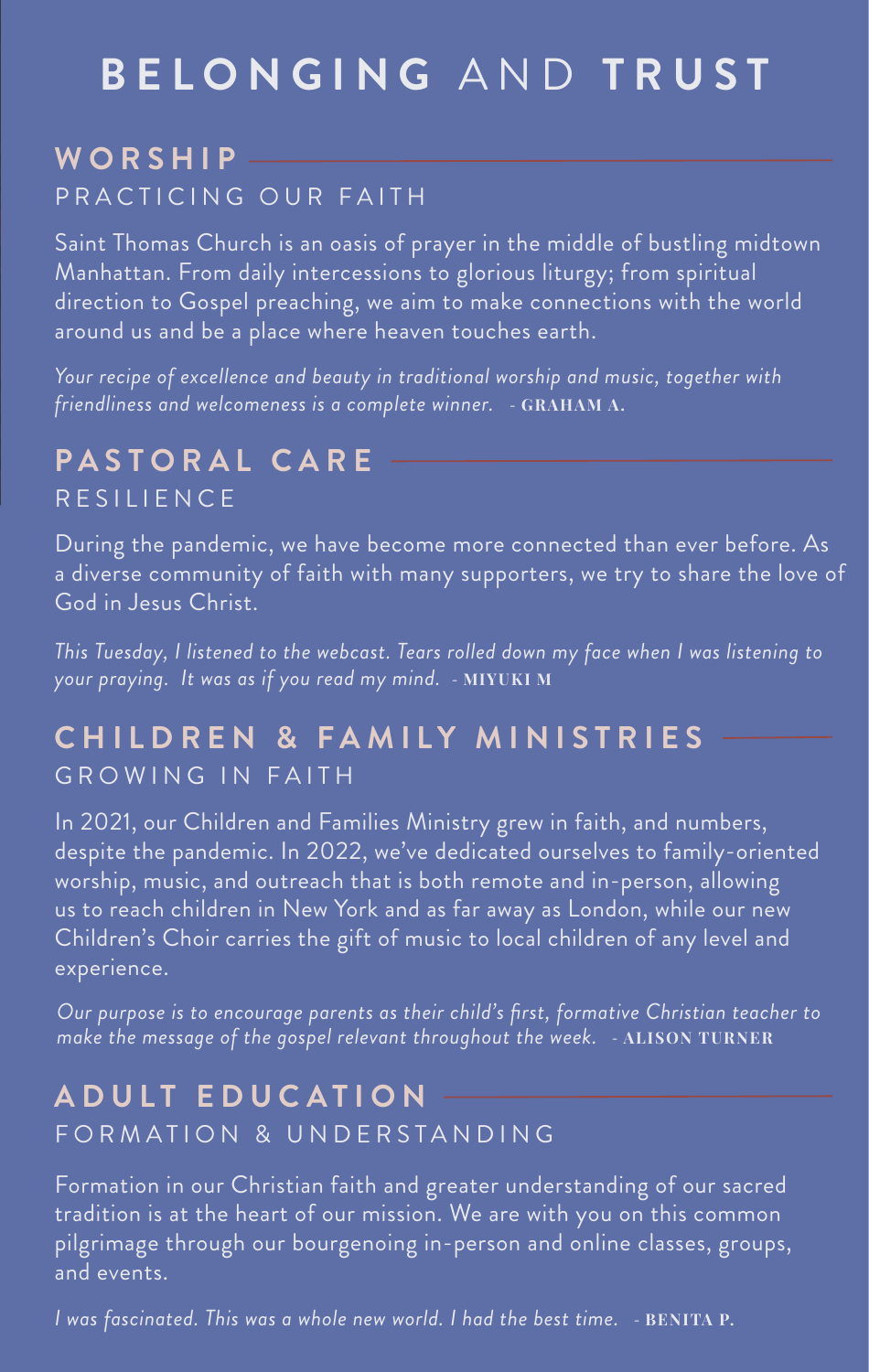# **B E L ONGI N G** AND **TRUS T**

#### **W ORS H I P** PRACTICING OUR FAITH

Saint Thomas Church is an oasis of prayer in the middle of bustling midtown Manhattan. From daily intercessions to glorious liturgy; from spiritual direction to Gospel preaching, we aim to make connections with the world around us and be a place where heaven touches earth.

*Your recipe of excellence and beauty in traditional worship and music, together with friendliness and welcomeness is a complete winner.* - **GRAHAM A.**

## **PA S T O R A L C A R E RESILIENCE**

During the pandemic, we have become more connected than ever before. As a diverse community of faith with many supporters, we try to share the love of God in Jesus Christ.

*This Tuesday, I listened to the webcast. Tears rolled down my face when I was listening to your praying. It was as if you read my mind.* - **MIYUKI M**

#### **CHILDR E N & F AMI L Y MINISTRIE S GROWING IN FAITH**

In 2021, our Children and Families Ministry grew in faith, and numbers, despite the pandemic. In 2022, we've dedicated ourselves to family-oriented worship, music, and outreach that is both remote and in-person, allowing us to reach children in New York and as far away as London, while our new Children's Choir carries the gift of music to local children of any level and experience.

*Our purpose is to encourage parents as their child's first, formative Christian teacher to make the message of the gospel relevant throughout the week.* - **ALISON TURNER**

#### **A D U L T E D U C ATIO N** FORMATION & UNDERSTANDING

Formation in our Christian faith and greater understanding of our sacred tradition is at the heart of our mission. We are with you on this common pilgrimage through our bourgenoing in-person and online classes, groups, and events.

*I was fascinated. This was a whole new world. I had the best time.* - **BENITA P.**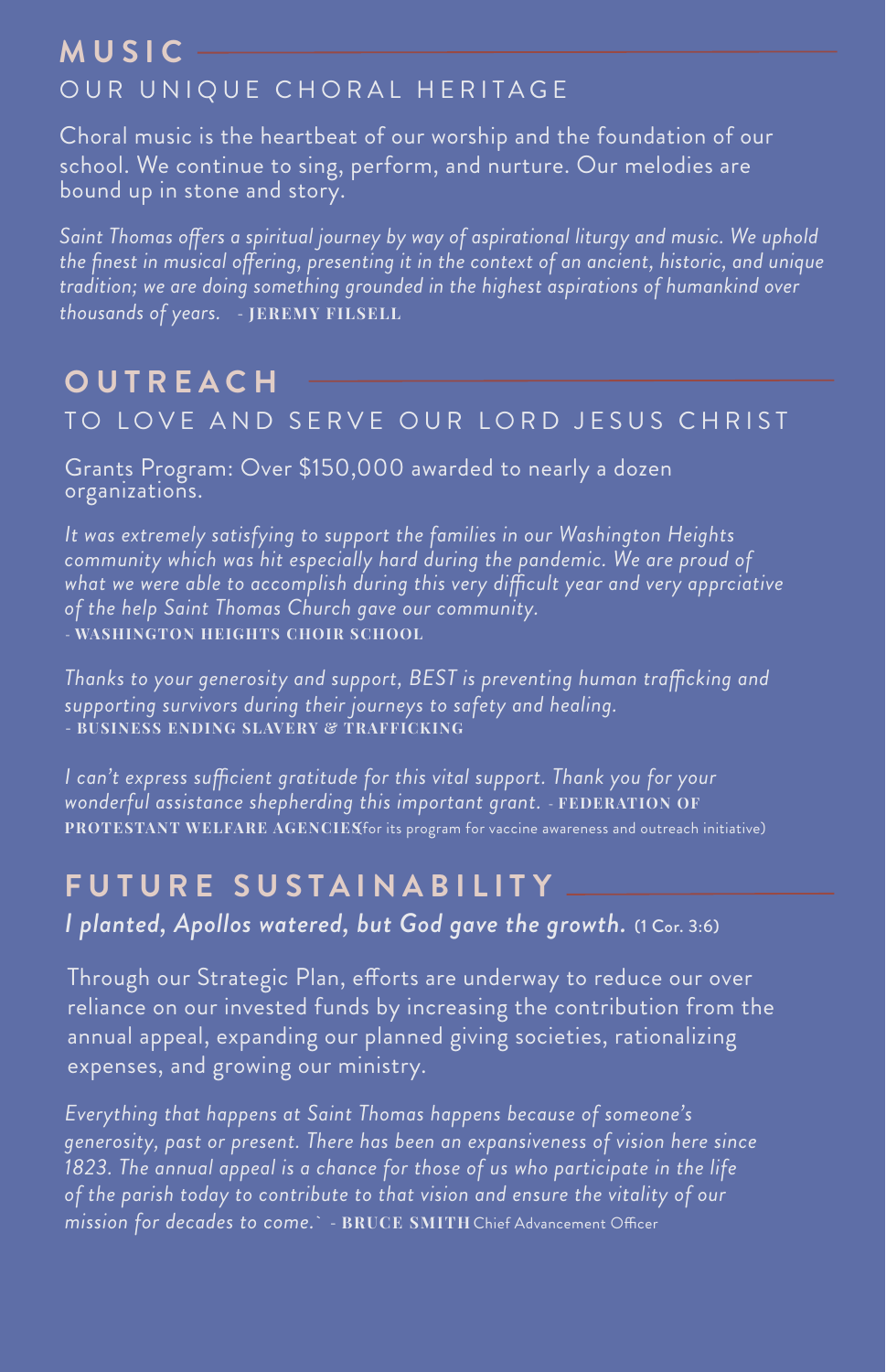## **M U S I C** OUR UNIQUE CHORAL HERITAGE

Choral music is the heartbeat of our worship and the foundation of our school. We continue to sing, perform, and nurture. Our melodies are bound up in stone and story.

*Saint Thomas ofers a spiritual journey by way of aspirational liturgy and music. We uphold the finest in musical ofering, presenting it in the context of an ancient, historic, and unique tradition; we are doing something grounded in the highest aspirations of humankind over thousands of years.* - **JEREMY FILSELL**

#### **O U T R E A C H** TO LOVE AND SERVE OUR LORD JESUS CHRIST

Grants Program: Over \$150,000 awarded to nearly a dozen organizations.

*It was extremely satisfying to support the families in our Washington Heights community which was hit especially hard during the pandemic. We are proud of what we were able to accomplish during this very difcult year and very apprciative of the help Saint Thomas Church gave our community.* - **WASHINGTON HEIGHTS CHOIR SCHOOL**

*Thanks to your generosity and support, BEST is preventing human trafcking and supporting survivors during their journeys to safety and healing.* - **BUSINESS ENDING SLAVERY & TRAFFICKING**

*I can't express sufcient gratitude for this vital support. Thank you for your wonderful assistance shepherding this important grant.* - **FEDERATION OF PROTESTANT WELFARE AGENCIES**(for its program for vaccine awareness and outreach initiative)

## **F U T U R E S U S TA I N A BILI T Y**

*I planted, Apollos watered, but God gave the growth.* (1 Cor. 3:6)

Through our Strategic Plan, efforts are underway to reduce our over reliance on our invested funds by increasing the contribution from the annual appeal, expanding our planned giving societies, rationalizing expenses, and growing our ministry.

*Everything that happens at Saint Thomas happens because of someone's generosity, past or present. There has been an expansiveness of vision here since 1823. The annual appeal is a chance for those of us who participate in the life of the parish today to contribute to that vision and ensure the vitality of our mission for decades to come.*` - BRUCE SMITH Chief Advancement Officer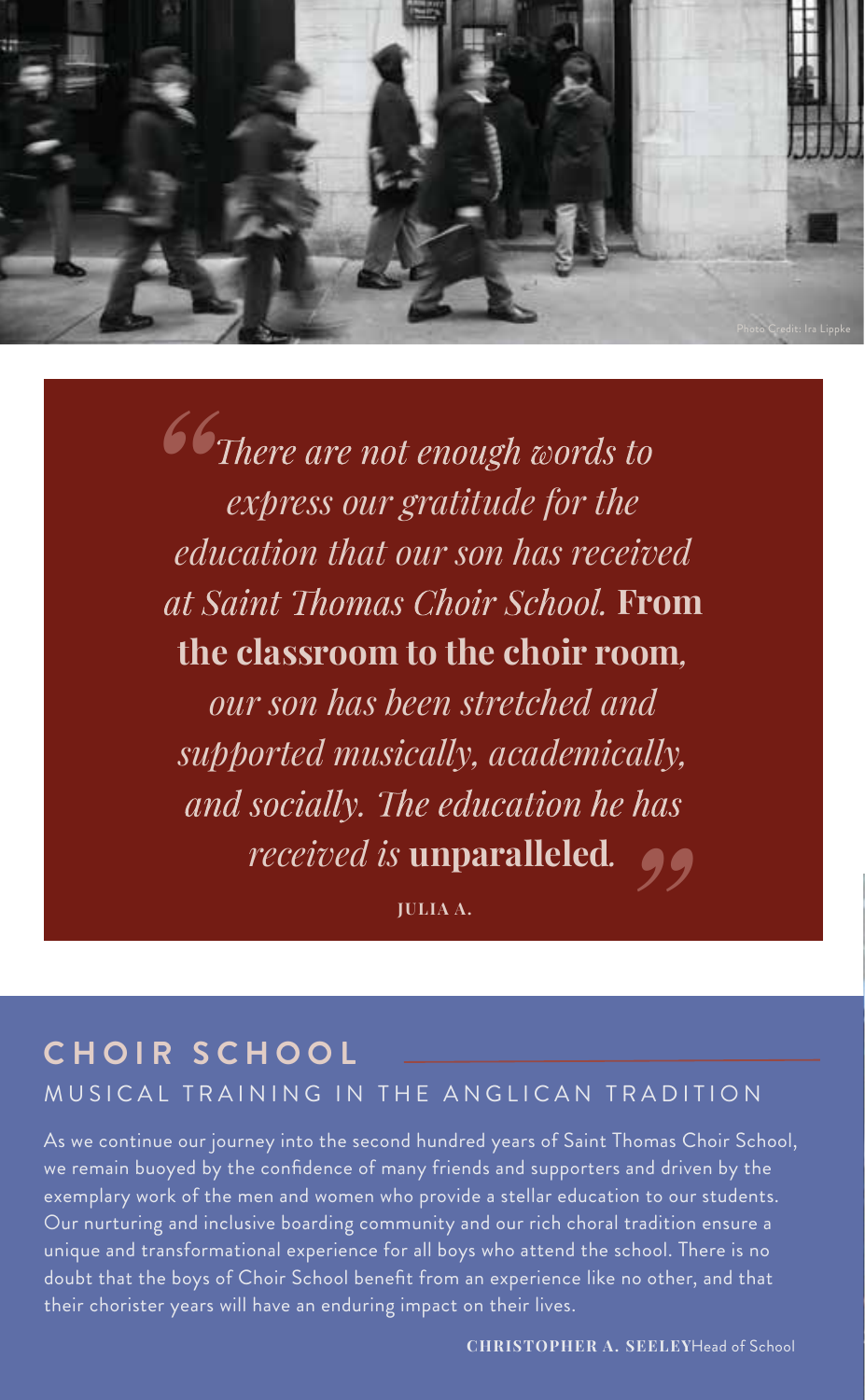

*Confidence are not enough words to express our gratitude for the education that our son has received*  at Saint Thomas Choir School. From **the classroom to the choir room***, our son has been stretched and* 

*supported musically, academically,*  and socially. The education he has *" received is* **unparalleled***.*

**JULIA A.**

#### **CHOIR SCHOO L** MUSICAL TRAINING IN THE ANGLICAN TRADITION

As we continue our journey into the second hundred years of Saint Thomas Choir School, we remain buoyed by the confidence of many friends and supporters and driven by the exemplary work of the men and women who provide a stellar education to our students. Our nurturing and inclusive boarding community and our rich choral tradition ensure a unique and transformational experience for all boys who attend the school. There is no doubt that the boys of Choir School benefit from an experience like no other, and that their chorister years will have an enduring impact on their lives.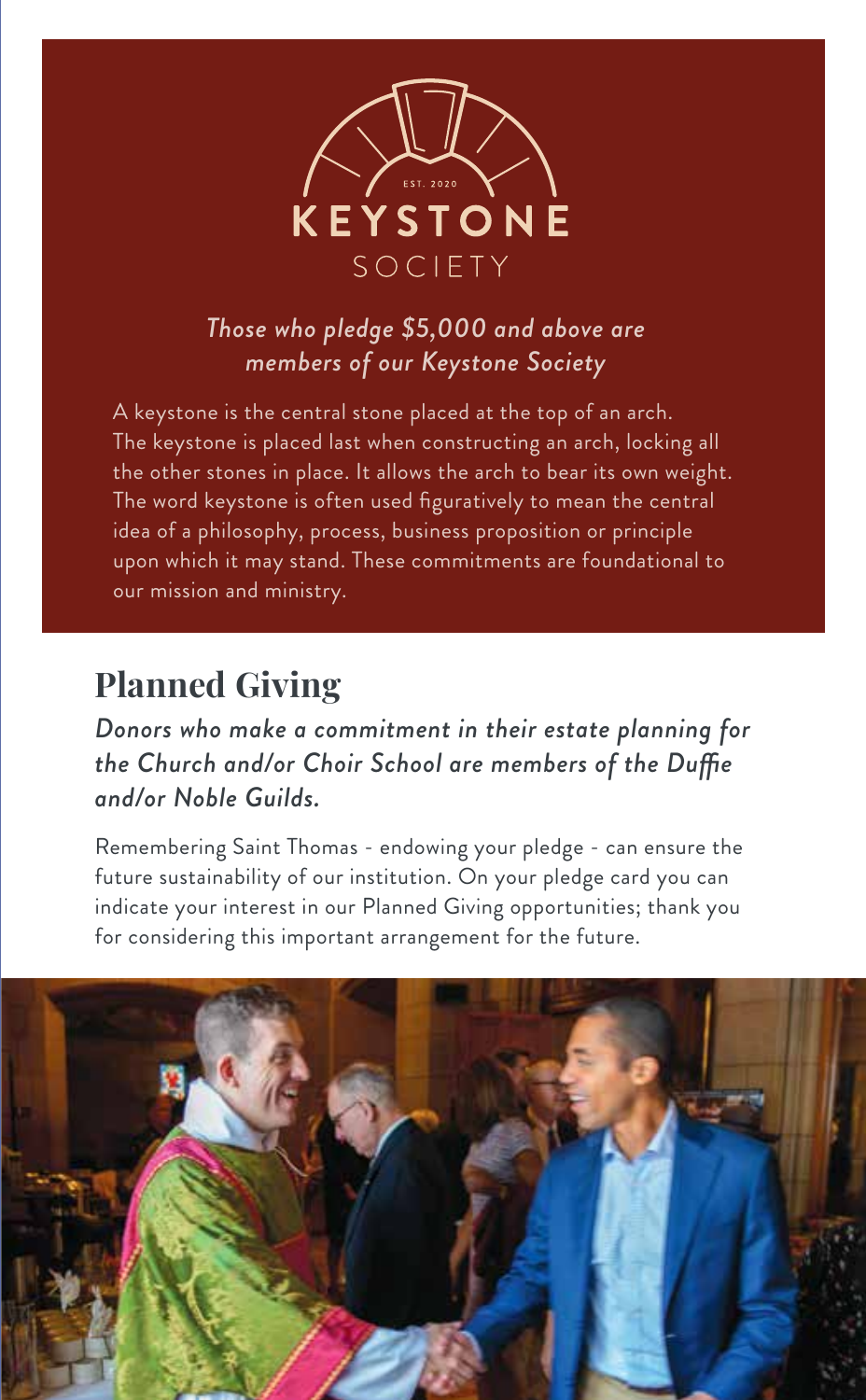

#### *Those who pledge \$5,000 and above are members of our Keystone Society*

A keystone is the central stone placed at the top of an arch. The keystone is placed last when constructing an arch, locking all the other stones in place. It allows the arch to bear its own weight. The word keystone is often used figuratively to mean the central idea of a philosophy, process, business proposition or principle upon which it may stand. These commitments are foundational to our mission and ministry.

## **Planned Giving**

*Donors who make a commitment in their estate planning for the Church and/or Choir School are members of the Dufe and/or Noble Guilds.*

Remembering Saint Thomas - endowing your pledge - can ensure the future sustainability of our institution. On your pledge card you can indicate your interest in our Planned Giving opportunities; thank you for considering this important arrangement for the future.